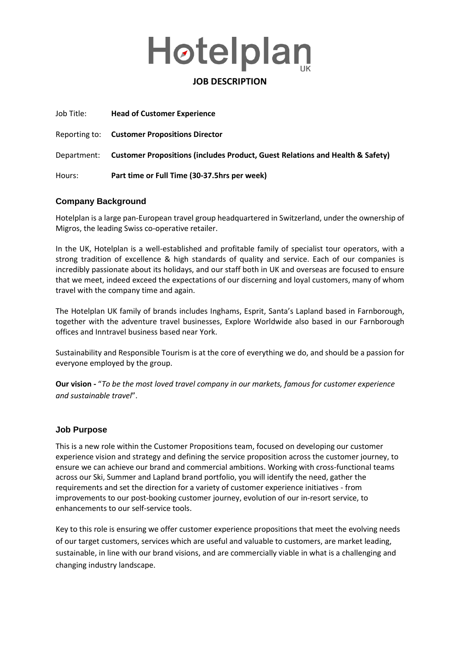

### **JOB DESCRIPTION**

| Job Title: | <b>Head of Customer Experience</b>                                                        |
|------------|-------------------------------------------------------------------------------------------|
|            | <b>Reporting to:</b> Customer Propositions Director                                       |
|            | Department: Customer Propositions (includes Product, Guest Relations and Health & Safety) |
| Hours:     | Part time or Full Time (30-37.5hrs per week)                                              |

#### **Company Background**

Hotelplan is a large pan-European travel group headquartered in Switzerland, under the ownership of Migros, the leading Swiss co-operative retailer.

In the UK, Hotelplan is a well-established and profitable family of specialist tour operators, with a strong tradition of excellence & high standards of quality and service. Each of our companies is incredibly passionate about its holidays, and our staff both in UK and overseas are focused to ensure that we meet, indeed exceed the expectations of our discerning and loyal customers, many of whom travel with the company time and again.

The Hotelplan UK family of brands includes Inghams, Esprit, Santa's Lapland based in Farnborough, together with the adventure travel businesses, Explore Worldwide also based in our Farnborough offices and Inntravel business based near York.

Sustainability and Responsible Tourism is at the core of everything we do, and should be a passion for everyone employed by the group.

**Our vision -** "*To be the most loved travel company in our markets, famous for customer experience and sustainable travel*".

#### **Job Purpose**

This is a new role within the Customer Propositions team, focused on developing our customer experience vision and strategy and defining the service proposition across the customer journey, to ensure we can achieve our brand and commercial ambitions. Working with cross-functional teams across our Ski, Summer and Lapland brand portfolio, you will identify the need, gather the requirements and set the direction for a variety of customer experience initiatives - from improvements to our post-booking customer journey, evolution of our in-resort service, to enhancements to our self-service tools.

Key to this role is ensuring we offer customer experience propositions that meet the evolving needs of our target customers, services which are useful and valuable to customers, are market leading, sustainable, in line with our brand visions, and are commercially viable in what is a challenging and changing industry landscape.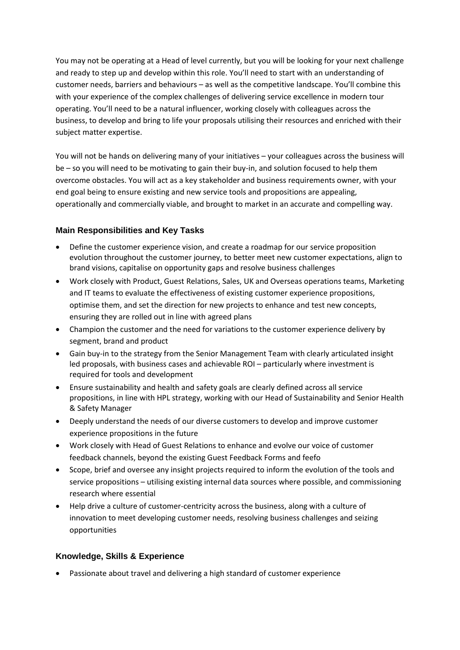You may not be operating at a Head of level currently, but you will be looking for your next challenge and ready to step up and develop within this role. You'll need to start with an understanding of customer needs, barriers and behaviours – as well as the competitive landscape. You'll combine this with your experience of the complex challenges of delivering service excellence in modern tour operating. You'll need to be a natural influencer, working closely with colleagues across the business, to develop and bring to life your proposals utilising their resources and enriched with their subject matter expertise.

You will not be hands on delivering many of your initiatives – your colleagues across the business will be – so you will need to be motivating to gain their buy-in, and solution focused to help them overcome obstacles. You will act as a key stakeholder and business requirements owner, with your end goal being to ensure existing and new service tools and propositions are appealing, operationally and commercially viable, and brought to market in an accurate and compelling way.

# **Main Responsibilities and Key Tasks**

- Define the customer experience vision, and create a roadmap for our service proposition evolution throughout the customer journey, to better meet new customer expectations, align to brand visions, capitalise on opportunity gaps and resolve business challenges
- Work closely with Product, Guest Relations, Sales, UK and Overseas operations teams, Marketing and IT teams to evaluate the effectiveness of existing customer experience propositions, optimise them, and set the direction for new projects to enhance and test new concepts, ensuring they are rolled out in line with agreed plans
- Champion the customer and the need for variations to the customer experience delivery by segment, brand and product
- Gain buy-in to the strategy from the Senior Management Team with clearly articulated insight led proposals, with business cases and achievable ROI – particularly where investment is required for tools and development
- Ensure sustainability and health and safety goals are clearly defined across all service propositions, in line with HPL strategy, working with our Head of Sustainability and Senior Health & Safety Manager
- Deeply understand the needs of our diverse customers to develop and improve customer experience propositions in the future
- Work closely with Head of Guest Relations to enhance and evolve our voice of customer feedback channels, beyond the existing Guest Feedback Forms and feefo
- Scope, brief and oversee any insight projects required to inform the evolution of the tools and service propositions – utilising existing internal data sources where possible, and commissioning research where essential
- Help drive a culture of customer-centricity across the business, along with a culture of innovation to meet developing customer needs, resolving business challenges and seizing opportunities

### **Knowledge, Skills & Experience**

Passionate about travel and delivering a high standard of customer experience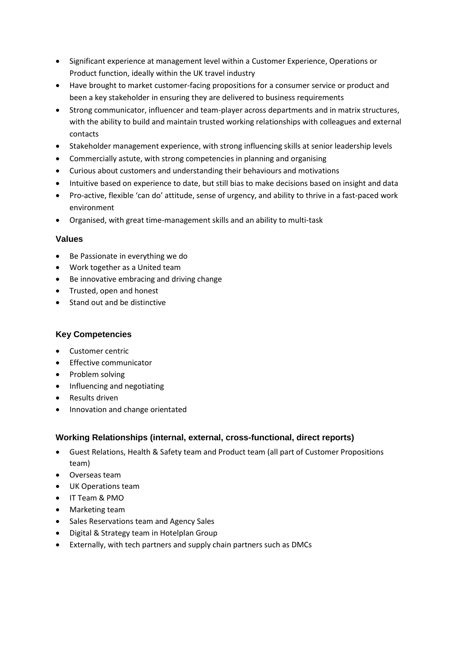- Significant experience at management level within a Customer Experience, Operations or Product function, ideally within the UK travel industry
- Have brought to market customer-facing propositions for a consumer service or product and been a key stakeholder in ensuring they are delivered to business requirements
- Strong communicator, influencer and team-player across departments and in matrix structures, with the ability to build and maintain trusted working relationships with colleagues and external contacts
- Stakeholder management experience, with strong influencing skills at senior leadership levels
- Commercially astute, with strong competencies in planning and organising
- Curious about customers and understanding their behaviours and motivations
- Intuitive based on experience to date, but still bias to make decisions based on insight and data
- Pro-active, flexible 'can do' attitude, sense of urgency, and ability to thrive in a fast-paced work environment
- Organised, with great time-management skills and an ability to multi-task

### **Values**

- Be Passionate in everything we do
- Work together as a United team
- Be innovative embracing and driving change
- Trusted, open and honest
- Stand out and be distinctive

### **Key Competencies**

- Customer centric
- **•** Effective communicator
- Problem solving
- Influencing and negotiating
- Results driven
- Innovation and change orientated

# **Working Relationships (internal, external, cross-functional, direct reports)**

- Guest Relations, Health & Safety team and Product team (all part of Customer Propositions team)
- Overseas team
- UK Operations team
- IT Team & PMO
- Marketing team
- Sales Reservations team and Agency Sales
- Digital & Strategy team in Hotelplan Group
- Externally, with tech partners and supply chain partners such as DMCs